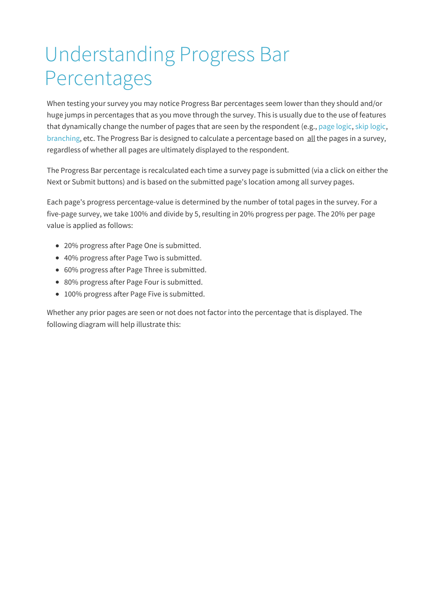## Understanding Progress Bar Percentages

When testing your survey you may notice Progress Bar percentages seem lower than they should and/or huge jumps in percentages that as you move through the survey. This is usually due to the use of features that dynamically change the number of pages that are seen by the respondent (e.g., page logic, skip logic, branching, etc. The Progress Bar is designed to calculate a percentage based on all the pages in a survey, regardless of whether all pages are ultimately displayed to the respondent.

The Progress Bar percentage is recalculated each time a survey page is submitted (via a click on either the Next or Submit buttons) and is based on the submitted page's location among all survey pages.

Each page's progress percentage-value is determined by the number of total pages in the survey. For a five-page survey, we take 100% and divide by 5, resulting in 20% progress per page. The 20% per page value is applied as follows:

- 20% progress after Page One is submitted.
- 40% progress after Page Two is submitted.
- 60% progress after Page Three is submitted.
- 80% progress after Page Four is submitted.
- 100% progress after Page Five is submitted.

Whether any prior pages are seen or not does not factor into the percentage that is displayed. The following diagram will help illustrate this: